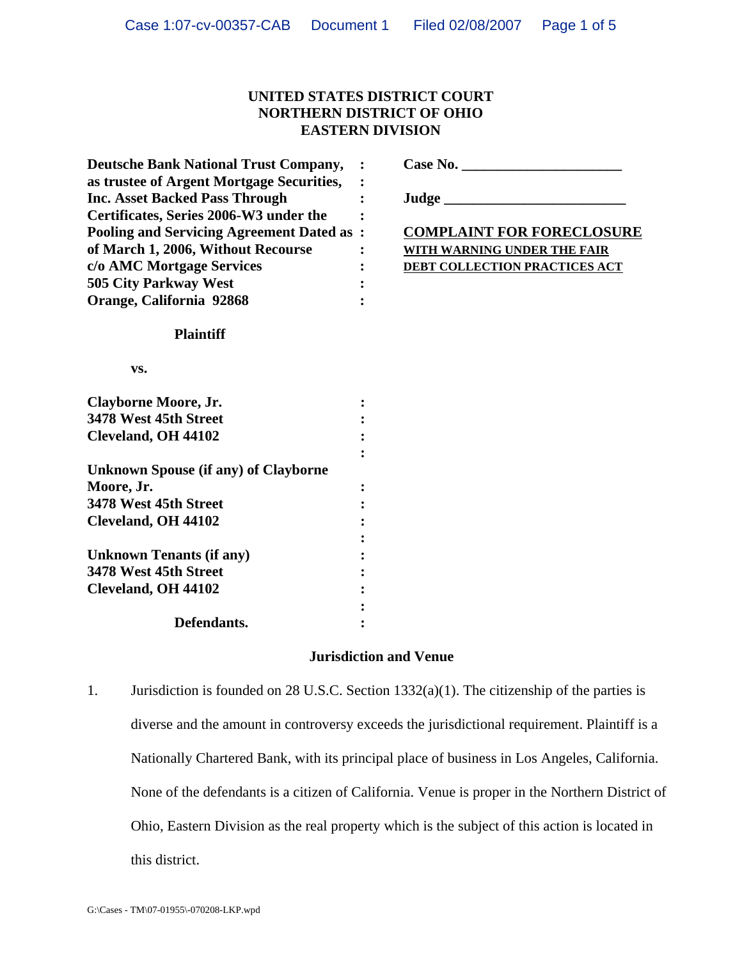## **UNITED STATES DISTRICT COURT NORTHERN DISTRICT OF OHIO EASTERN DIVISION**

| <b>Deutsche Bank National Trust Company,</b>     |                                    |
|--------------------------------------------------|------------------------------------|
| as trustee of Argent Mortgage Securities,        |                                    |
| <b>Inc. Asset Backed Pass Through</b>            |                                    |
| Certificates, Series 2006-W3 under the           |                                    |
| <b>Pooling and Servicing Agreement Dated as:</b> | <b>COMPLAINT FOR FORECLOSURE</b>   |
| of March 1, 2006, Without Recourse               | <b>WITH WARNING UNDER THE FAIR</b> |
| c/o AMC Mortgage Services                        | DEBT COLLECTION PRACTICES ACT      |
| 505 City Parkway West                            |                                    |
| Orange, California 92868                         |                                    |
| <b>Plaintiff</b>                                 |                                    |
| VS.                                              |                                    |
| <b>Clayborne Moore, Jr.</b>                      |                                    |
| 3478 West 45th Street                            |                                    |
| Cleveland, OH 44102                              |                                    |
|                                                  |                                    |
| <b>Unknown Spouse (if any) of Clayborne</b>      |                                    |
| Moore, Jr.                                       |                                    |
| 3478 West 45th Street                            |                                    |
| Cleveland, OH 44102                              |                                    |
|                                                  |                                    |
| <b>Unknown Tenants (if any)</b>                  |                                    |
| 3478 West 45th Street                            |                                    |
| Cleveland, OH 44102                              |                                    |
|                                                  |                                    |
| Defendants.                                      |                                    |
|                                                  | <b>Jurisdiction and Venue</b>      |
|                                                  |                                    |

1. Jurisdiction is founded on 28 U.S.C. Section 1332(a)(1). The citizenship of the parties is diverse and the amount in controversy exceeds the jurisdictional requirement. Plaintiff is a Nationally Chartered Bank, with its principal place of business in Los Angeles, California. None of the defendants is a citizen of California. Venue is proper in the Northern District of Ohio, Eastern Division as the real property which is the subject of this action is located in this district.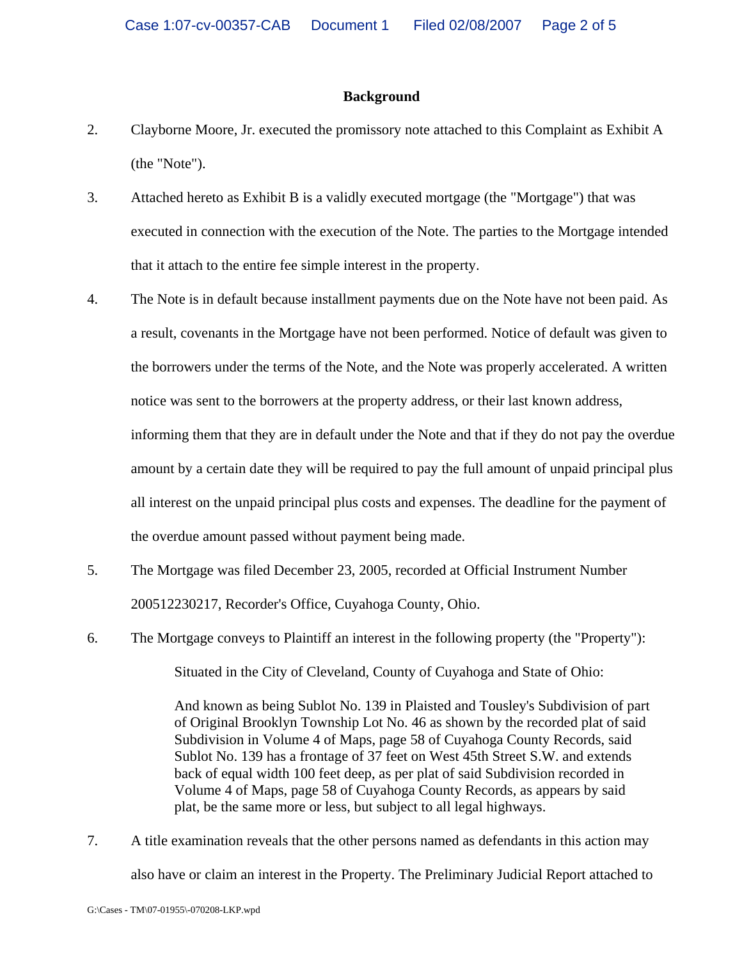#### **Background**

- 2. Clayborne Moore, Jr. executed the promissory note attached to this Complaint as Exhibit A (the "Note").
- 3. Attached hereto as Exhibit B is a validly executed mortgage (the "Mortgage") that was executed in connection with the execution of the Note. The parties to the Mortgage intended that it attach to the entire fee simple interest in the property.
- 4. The Note is in default because installment payments due on the Note have not been paid. As a result, covenants in the Mortgage have not been performed. Notice of default was given to the borrowers under the terms of the Note, and the Note was properly accelerated. A written notice was sent to the borrowers at the property address, or their last known address, informing them that they are in default under the Note and that if they do not pay the overdue amount by a certain date they will be required to pay the full amount of unpaid principal plus all interest on the unpaid principal plus costs and expenses. The deadline for the payment of the overdue amount passed without payment being made.
- 5. The Mortgage was filed December 23, 2005, recorded at Official Instrument Number 200512230217, Recorder's Office, Cuyahoga County, Ohio.
- 6. The Mortgage conveys to Plaintiff an interest in the following property (the "Property"): Situated in the City of Cleveland, County of Cuyahoga and State of Ohio:

And known as being Sublot No. 139 in Plaisted and Tousley's Subdivision of part of Original Brooklyn Township Lot No. 46 as shown by the recorded plat of said Subdivision in Volume 4 of Maps, page 58 of Cuyahoga County Records, said Sublot No. 139 has a frontage of 37 feet on West 45th Street S.W. and extends back of equal width 100 feet deep, as per plat of said Subdivision recorded in Volume 4 of Maps, page 58 of Cuyahoga County Records, as appears by said plat, be the same more or less, but subject to all legal highways.

7. A title examination reveals that the other persons named as defendants in this action may also have or claim an interest in the Property. The Preliminary Judicial Report attached to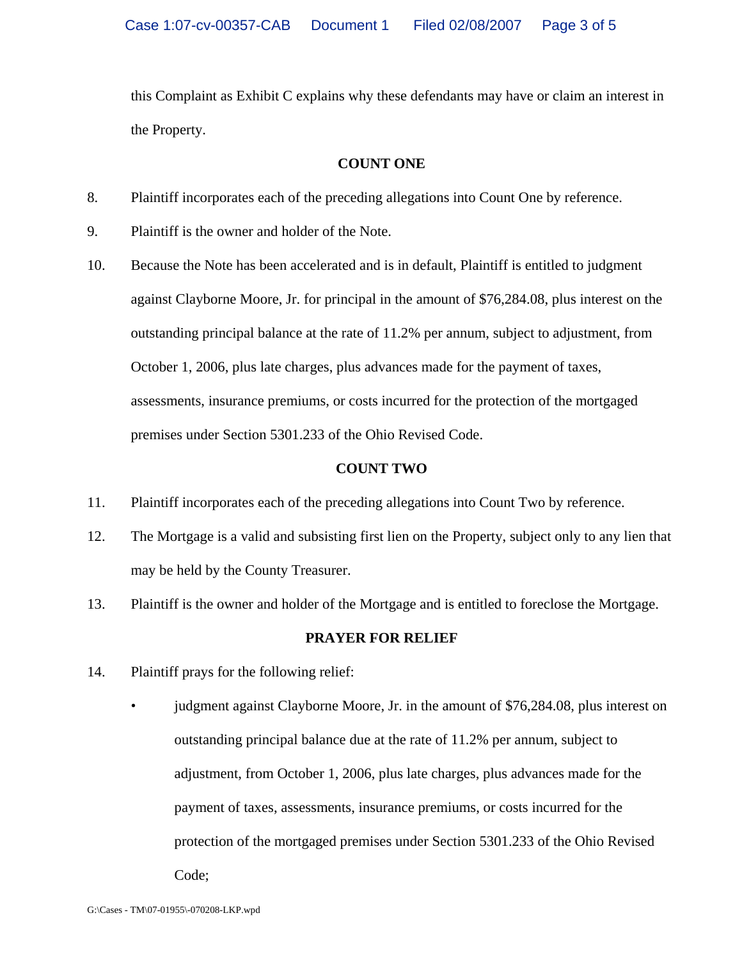this Complaint as Exhibit C explains why these defendants may have or claim an interest in the Property.

#### **COUNT ONE**

- 8. Plaintiff incorporates each of the preceding allegations into Count One by reference.
- 9. Plaintiff is the owner and holder of the Note.
- 10. Because the Note has been accelerated and is in default, Plaintiff is entitled to judgment against Clayborne Moore, Jr. for principal in the amount of \$76,284.08, plus interest on the outstanding principal balance at the rate of 11.2% per annum, subject to adjustment, from October 1, 2006, plus late charges, plus advances made for the payment of taxes, assessments, insurance premiums, or costs incurred for the protection of the mortgaged premises under Section 5301.233 of the Ohio Revised Code.

### **COUNT TWO**

- 11. Plaintiff incorporates each of the preceding allegations into Count Two by reference.
- 12. The Mortgage is a valid and subsisting first lien on the Property, subject only to any lien that may be held by the County Treasurer.
- 13. Plaintiff is the owner and holder of the Mortgage and is entitled to foreclose the Mortgage.

### **PRAYER FOR RELIEF**

- 14. Plaintiff prays for the following relief:
	- judgment against Clayborne Moore, Jr. in the amount of \$76,284.08, plus interest on outstanding principal balance due at the rate of 11.2% per annum, subject to adjustment, from October 1, 2006, plus late charges, plus advances made for the payment of taxes, assessments, insurance premiums, or costs incurred for the protection of the mortgaged premises under Section 5301.233 of the Ohio Revised Code;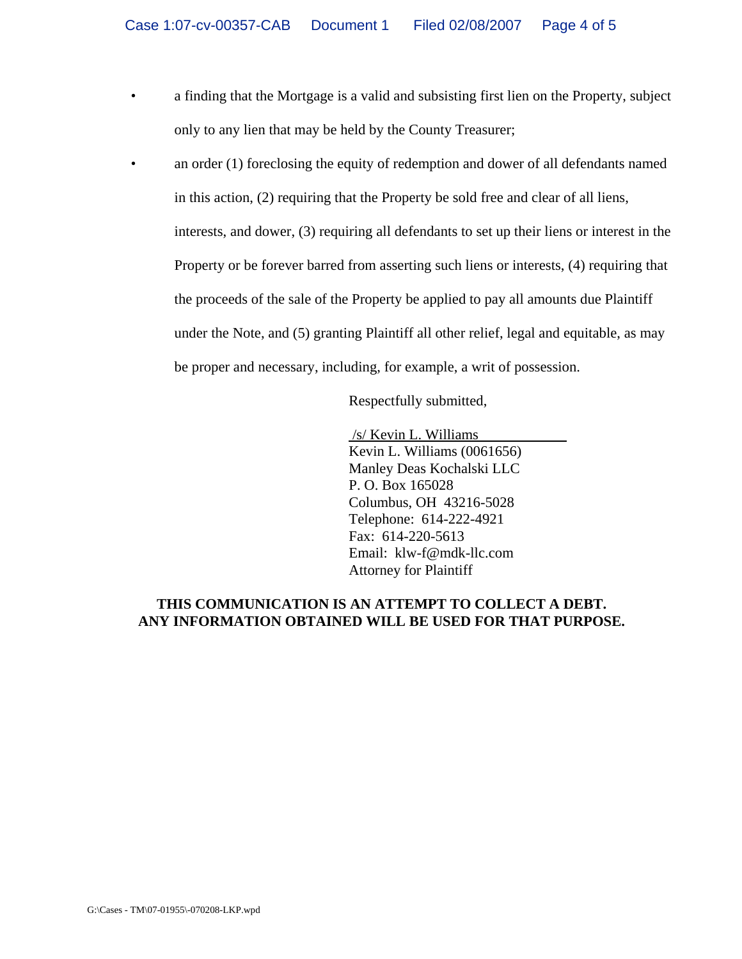- a finding that the Mortgage is a valid and subsisting first lien on the Property, subject only to any lien that may be held by the County Treasurer;
- an order (1) foreclosing the equity of redemption and dower of all defendants named in this action, (2) requiring that the Property be sold free and clear of all liens, interests, and dower, (3) requiring all defendants to set up their liens or interest in the Property or be forever barred from asserting such liens or interests, (4) requiring that the proceeds of the sale of the Property be applied to pay all amounts due Plaintiff under the Note, and (5) granting Plaintiff all other relief, legal and equitable, as may be proper and necessary, including, for example, a writ of possession.

Respectfully submitted,

 /s/ Kevin L. Williams Kevin L. Williams (0061656) Manley Deas Kochalski LLC P. O. Box 165028 Columbus, OH 43216-5028 Telephone: 614-222-4921 Fax: 614-220-5613 Email: klw-f@mdk-llc.com Attorney for Plaintiff

## **THIS COMMUNICATION IS AN ATTEMPT TO COLLECT A DEBT. ANY INFORMATION OBTAINED WILL BE USED FOR THAT PURPOSE.**